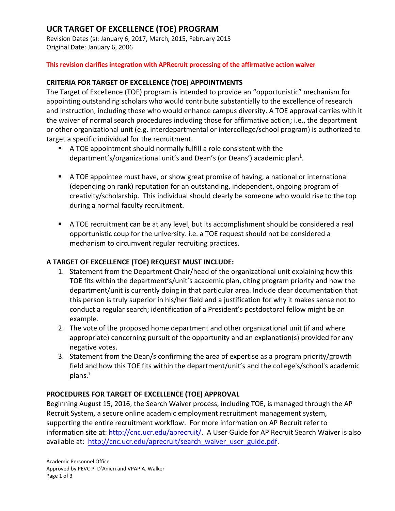# **UCR TARGET OF EXCELLENCE (TOE) PROGRAM**

Revision Dates (s): January 6, 2017, March, 2015, February 2015 Original Date: January 6, 2006

#### **This revision clarifies integration with APRecruit processing of the affirmative action waiver**

### **CRITERIA FOR TARGET OF EXCELLENCE (TOE) APPOINTMENTS**

The Target of Excellence (TOE) program is intended to provide an "opportunistic" mechanism for appointing outstanding scholars who would contribute substantially to the excellence of research and instruction, including those who would enhance campus diversity. A TOE approval carries with it the waiver of normal search procedures including those for affirmative action; i.e., the department or other organizational unit (e.g. interdepartmental or intercollege/school program) is authorized to target a specific individual for the recruitment.

- A TOE appointment should normally fulfill a role consistent with the department's/organizational unit's and Dean's (or Deans') academic plan<sup>1</sup>.
- A TOE appointee must have, or show great promise of having, a national or international (depending on rank) reputation for an outstanding, independent, ongoing program of creativity/scholarship. This individual should clearly be someone who would rise to the top during a normal faculty recruitment.
- A TOE recruitment can be at any level, but its accomplishment should be considered a real opportunistic coup for the university. i.e. a TOE request should not be considered a mechanism to circumvent regular recruiting practices.

### **A TARGET OF EXCELLENCE (TOE) REQUEST MUST INCLUDE:**

- 1. Statement from the Department Chair/head of the organizational unit explaining how this TOE fits within the department's/unit's academic plan, citing program priority and how the department/unit is currently doing in that particular area. Include clear documentation that this person is truly superior in his/her field and a justification for why it makes sense not to conduct a regular search; identification of a President's postdoctoral fellow might be an example.
- 2. The vote of the proposed home department and other organizational unit (if and where appropriate) concerning pursuit of the opportunity and an explanation(s) provided for any negative votes.
- 3. Statement from the Dean/s confirming the area of expertise as a program priority/growth field and how this TOE fits within the department/unit's and the college's/school's academic plans.<sup>1</sup>

#### **PROCEDURES FOR TARGET OF EXCELLENCE (TOE) APPROVAL**

Beginning August 15, 2016, the Search Waiver process, including TOE, is managed through the AP Recruit System, a secure online academic employment recruitment management system, supporting the entire recruitment workflow. For more information on AP Recruit refer to information site at: [http://cnc.ucr.edu/aprecruit/.](http://cnc.ucr.edu/aprecruit/) A User Guide for AP Recruit Search Waiver is also available at: [http://cnc.ucr.edu/aprecruit/search\\_waiver\\_user\\_guide.pdf.](http://cnc.ucr.edu/aprecruit/search_waiver_user_guide.pdf)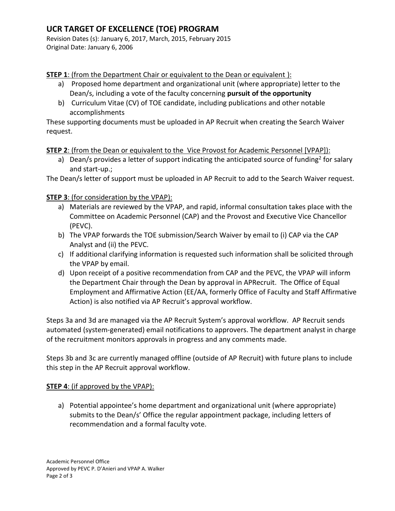# **UCR TARGET OF EXCELLENCE (TOE) PROGRAM**

Revision Dates (s): January 6, 2017, March, 2015, February 2015 Original Date: January 6, 2006

**STEP 1**: (from the Department Chair or equivalent to the Dean or equivalent):

- a) Proposed home department and organizational unit (where appropriate) letter to the Dean/s, including a vote of the faculty concerning **pursuit of the opportunity**
- b) Curriculum Vitae (CV) of TOE candidate, including publications and other notable accomplishments

These supporting documents must be uploaded in AP Recruit when creating the Search Waiver request.

**STEP 2**: (from the Dean or equivalent to the Vice Provost for Academic Personnel [VPAP]):

a) Dean/s provides a letter of support indicating the anticipated source of funding<sup>2</sup> for salary and start-up.;

The Dean/s letter of support must be uploaded in AP Recruit to add to the Search Waiver request.

### **STEP 3**: (for consideration by the VPAP):

- a) Materials are reviewed by the VPAP, and rapid, informal consultation takes place with the Committee on Academic Personnel (CAP) and the Provost and Executive Vice Chancellor (PEVC).
- b) The VPAP forwards the TOE submission/Search Waiver by email to (i) CAP via the CAP Analyst and (ii) the PEVC.
- c) If additional clarifying information is requested such information shall be solicited through the VPAP by email.
- d) Upon receipt of a positive recommendation from CAP and the PEVC, the VPAP will inform the Department Chair through the Dean by approval in APRecruit. The Office of Equal Employment and Affirmative Action (EE/AA, formerly Office of Faculty and Staff Affirmative Action) is also notified via AP Recruit's approval workflow.

Steps 3a and 3d are managed via the AP Recruit System's approval workflow. AP Recruit sends automated (system-generated) email notifications to approvers. The department analyst in charge of the recruitment monitors approvals in progress and any comments made.

Steps 3b and 3c are currently managed offline (outside of AP Recruit) with future plans to include this step in the AP Recruit approval workflow.

### **STEP 4:** (if approved by the VPAP):

a) Potential appointee's home department and organizational unit (where appropriate) submits to the Dean/s' Office the regular appointment package, including letters of recommendation and a formal faculty vote.